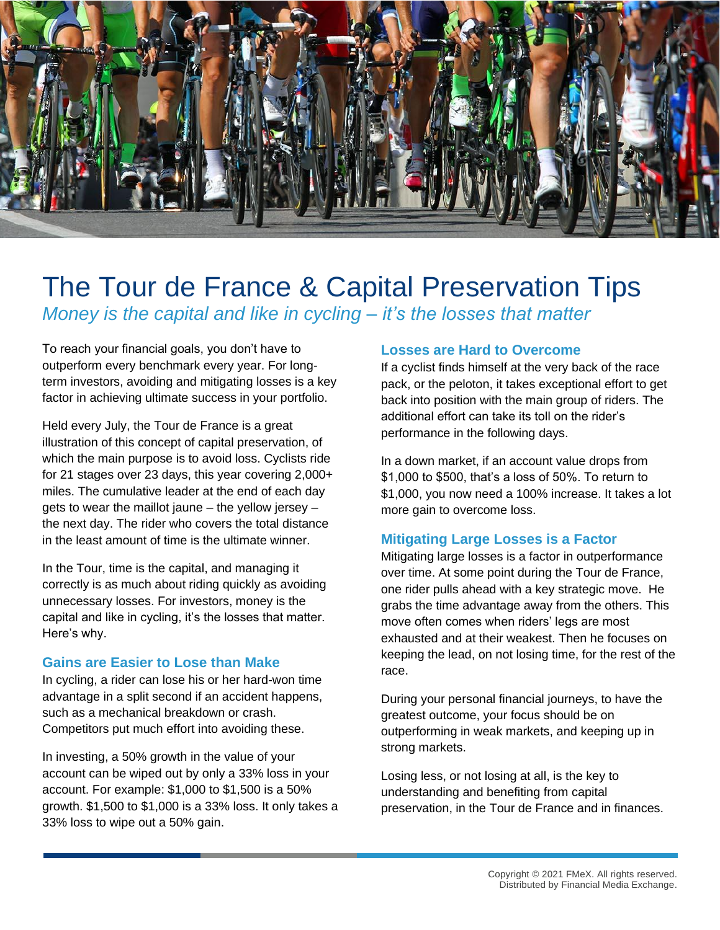

## The Tour de France & Capital Preservation Tips *Money is the capital and like in cycling – it's the losses that matter*

To reach your financial goals, you don't have to outperform every benchmark every year. For longterm investors, avoiding and mitigating losses is a key factor in achieving ultimate success in your portfolio.

Held every July, the Tour de France is a great illustration of this concept of capital preservation, of which the main purpose is to avoid loss. Cyclists ride for 21 stages over 23 days, this year covering 2,000+ miles. The cumulative leader at the end of each day gets to wear the maillot jaune – the yellow jersey – the next day. The rider who covers the total distance in the least amount of time is the ultimate winner.

In the Tour, time is the capital, and managing it correctly is as much about riding quickly as avoiding unnecessary losses. For investors, money is the capital and like in cycling, it's the losses that matter. Here's why.

## **Gains are Easier to Lose than Make**

In cycling, a rider can lose his or her hard-won time advantage in a split second if an accident happens, such as a mechanical breakdown or crash. Competitors put much effort into avoiding these.

In investing, a 50% growth in the value of your account can be wiped out by only a 33% loss in your account. For example: \$1,000 to \$1,500 is a 50% growth. \$1,500 to \$1,000 is a 33% loss. It only takes a 33% loss to wipe out a 50% gain.

## **Losses are Hard to Overcome**

If a cyclist finds himself at the very back of the race pack, or the peloton, it takes exceptional effort to get back into position with the main group of riders. The additional effort can take its toll on the rider's performance in the following days.

In a down market, if an account value drops from \$1,000 to \$500, that's a loss of 50%. To return to \$1,000, you now need a 100% increase. It takes a lot more gain to overcome loss.

## **Mitigating Large Losses is a Factor**

Mitigating large losses is a factor in outperformance over time. At some point during the Tour de France, one rider pulls ahead with a key strategic move. He grabs the time advantage away from the others. This move often comes when riders' legs are most exhausted and at their weakest. Then he focuses on keeping the lead, on not losing time, for the rest of the race.

During your personal financial journeys, to have the greatest outcome, your focus should be on outperforming in weak markets, and keeping up in strong markets.

Losing less, or not losing at all, is the key to understanding and benefiting from capital preservation, in the Tour de France and in finances.